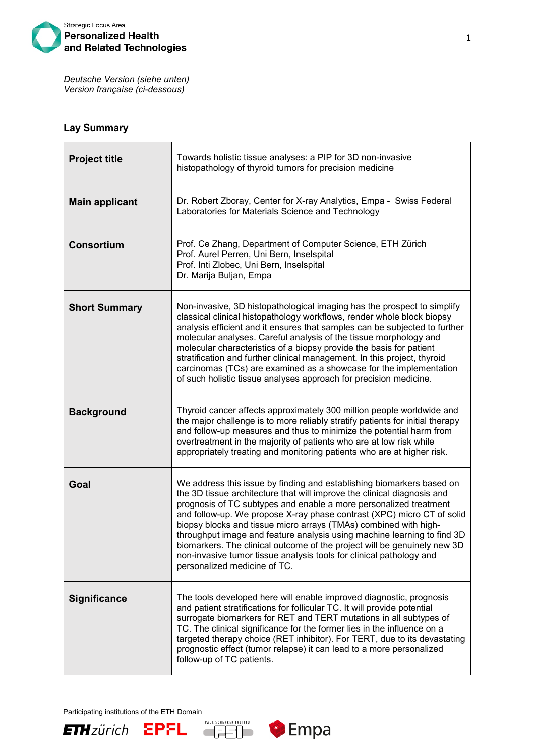

*Deutsche Version (siehe unten) Version française (ci-dessous)*

## **Lay Summary**

| <b>Project title</b>  | Towards holistic tissue analyses: a PIP for 3D non-invasive<br>histopathology of thyroid tumors for precision medicine                                                                                                                                                                                                                                                                                                                                                                                                                                                                                                            |
|-----------------------|-----------------------------------------------------------------------------------------------------------------------------------------------------------------------------------------------------------------------------------------------------------------------------------------------------------------------------------------------------------------------------------------------------------------------------------------------------------------------------------------------------------------------------------------------------------------------------------------------------------------------------------|
| <b>Main applicant</b> | Dr. Robert Zboray, Center for X-ray Analytics, Empa - Swiss Federal<br>Laboratories for Materials Science and Technology                                                                                                                                                                                                                                                                                                                                                                                                                                                                                                          |
| <b>Consortium</b>     | Prof. Ce Zhang, Department of Computer Science, ETH Zürich<br>Prof. Aurel Perren, Uni Bern, Inselspital<br>Prof. Inti Zlobec, Uni Bern, Inselspital<br>Dr. Marija Buljan, Empa                                                                                                                                                                                                                                                                                                                                                                                                                                                    |
| <b>Short Summary</b>  | Non-invasive, 3D histopathological imaging has the prospect to simplify<br>classical clinical histopathology workflows, render whole block biopsy<br>analysis efficient and it ensures that samples can be subjected to further<br>molecular analyses. Careful analysis of the tissue morphology and<br>molecular characteristics of a biopsy provide the basis for patient<br>stratification and further clinical management. In this project, thyroid<br>carcinomas (TCs) are examined as a showcase for the implementation<br>of such holistic tissue analyses approach for precision medicine.                                |
| <b>Background</b>     | Thyroid cancer affects approximately 300 million people worldwide and<br>the major challenge is to more reliably stratify patients for initial therapy<br>and follow-up measures and thus to minimize the potential harm from<br>overtreatment in the majority of patients who are at low risk while<br>appropriately treating and monitoring patients who are at higher risk.                                                                                                                                                                                                                                                    |
| Goal                  | We address this issue by finding and establishing biomarkers based on<br>the 3D tissue architecture that will improve the clinical diagnosis and<br>prognosis of TC subtypes and enable a more personalized treatment<br>and follow-up. We propose X-ray phase contrast (XPC) micro CT of solid<br>biopsy blocks and tissue micro arrays (TMAs) combined with high-<br>throughput image and feature analysis using machine learning to find 3D<br>biomarkers. The clinical outcome of the project will be genuinely new 3D<br>non-invasive tumor tissue analysis tools for clinical pathology and<br>personalized medicine of TC. |
| <b>Significance</b>   | The tools developed here will enable improved diagnostic, prognosis<br>and patient stratifications for follicular TC. It will provide potential<br>surrogate biomarkers for RET and TERT mutations in all subtypes of<br>TC. The clinical significance for the former lies in the influence on a<br>targeted therapy choice (RET inhibitor). For TERT, due to its devastating<br>prognostic effect (tumor relapse) it can lead to a more personalized<br>follow-up of TC patients.                                                                                                                                                |

Participating institutions of the ETH Domain





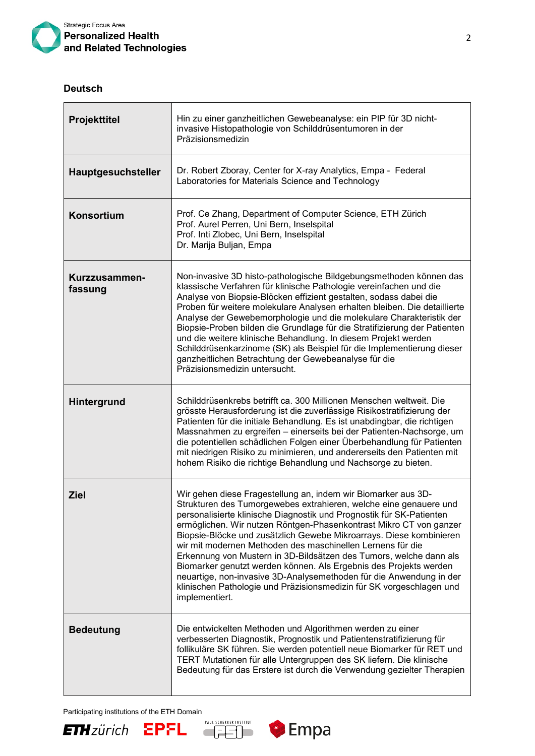

## **Deutsch**

| <b>Projekttitel</b>       | Hin zu einer ganzheitlichen Gewebeanalyse: ein PIP für 3D nicht-<br>invasive Histopathologie von Schilddrüsentumoren in der<br>Präzisionsmedizin                                                                                                                                                                                                                                                                                                                                                                                                                                                                                                                                                                                  |
|---------------------------|-----------------------------------------------------------------------------------------------------------------------------------------------------------------------------------------------------------------------------------------------------------------------------------------------------------------------------------------------------------------------------------------------------------------------------------------------------------------------------------------------------------------------------------------------------------------------------------------------------------------------------------------------------------------------------------------------------------------------------------|
| <b>Hauptgesuchsteller</b> | Dr. Robert Zboray, Center for X-ray Analytics, Empa - Federal<br>Laboratories for Materials Science and Technology                                                                                                                                                                                                                                                                                                                                                                                                                                                                                                                                                                                                                |
| <b>Konsortium</b>         | Prof. Ce Zhang, Department of Computer Science, ETH Zürich<br>Prof. Aurel Perren, Uni Bern, Inselspital<br>Prof. Inti Zlobec, Uni Bern, Inselspital<br>Dr. Marija Buljan, Empa                                                                                                                                                                                                                                                                                                                                                                                                                                                                                                                                                    |
| Kurzzusammen-<br>fassung  | Non-invasive 3D histo-pathologische Bildgebungsmethoden können das<br>klassische Verfahren für klinische Pathologie vereinfachen und die<br>Analyse von Biopsie-Blöcken effizient gestalten, sodass dabei die<br>Proben für weitere molekulare Analysen erhalten bleiben. Die detaillierte<br>Analyse der Gewebemorphologie und die molekulare Charakteristik der<br>Biopsie-Proben bilden die Grundlage für die Stratifizierung der Patienten<br>und die weitere klinische Behandlung. In diesem Projekt werden<br>Schilddrüsenkarzinome (SK) als Beispiel für die Implementierung dieser<br>ganzheitlichen Betrachtung der Gewebeanalyse für die<br>Präzisionsmedizin untersucht.                                               |
| Hintergrund               | Schilddrüsenkrebs betrifft ca. 300 Millionen Menschen weltweit. Die<br>grösste Herausforderung ist die zuverlässige Risikostratifizierung der<br>Patienten für die initiale Behandlung. Es ist unabdingbar, die richtigen<br>Massnahmen zu ergreifen - einerseits bei der Patienten-Nachsorge, um<br>die potentiellen schädlichen Folgen einer Überbehandlung für Patienten<br>mit niedrigen Risiko zu minimieren, und andererseits den Patienten mit<br>hohem Risiko die richtige Behandlung und Nachsorge zu bieten.                                                                                                                                                                                                            |
| <b>Ziel</b>               | Wir gehen diese Fragestellung an, indem wir Biomarker aus 3D-<br>Strukturen des Tumorgewebes extrahieren, welche eine genauere und<br>personalisierte klinische Diagnostik und Prognostik für SK-Patienten<br>ermöglichen. Wir nutzen Röntgen-Phasenkontrast Mikro CT von ganzer<br>Biopsie-Blöcke und zusätzlich Gewebe Mikroarrays. Diese kombinieren<br>wir mit modernen Methoden des maschinellen Lernens für die<br>Erkennung von Mustern in 3D-Bildsätzen des Tumors, welche dann als<br>Biomarker genutzt werden können. Als Ergebnis des Projekts werden<br>neuartige, non-invasive 3D-Analysemethoden für die Anwendung in der<br>klinischen Pathologie und Präzisionsmedizin für SK vorgeschlagen und<br>implementiert. |
| <b>Bedeutung</b>          | Die entwickelten Methoden und Algorithmen werden zu einer<br>verbesserten Diagnostik, Prognostik und Patientenstratifizierung für<br>follikuläre SK führen. Sie werden potentiell neue Biomarker für RET und<br>TERT Mutationen für alle Untergruppen des SK liefern. Die klinische<br>Bedeutung für das Erstere ist durch die Verwendung gezielter Therapien                                                                                                                                                                                                                                                                                                                                                                     |







٦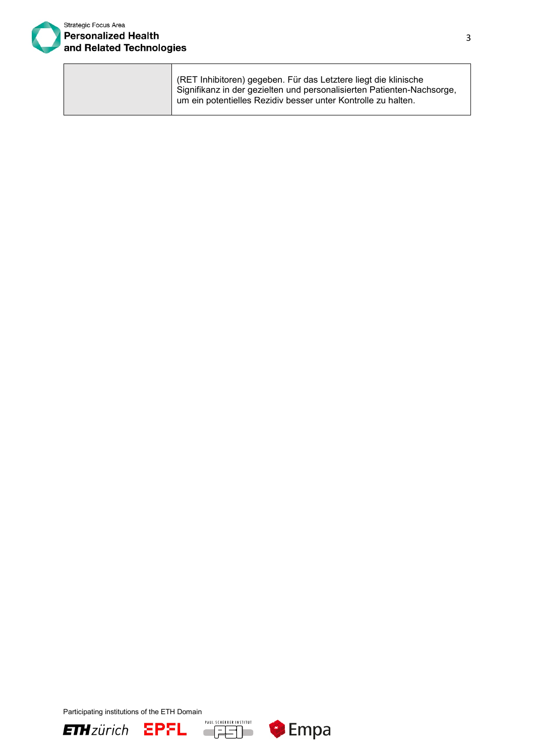

| (RET Inhibitoren) gegeben. Für das Letztere liegt die klinische        |
|------------------------------------------------------------------------|
| Signifikanz in der gezielten und personalisierten Patienten-Nachsorge, |
| um ein potentielles Rezidiv besser unter Kontrolle zu halten.          |